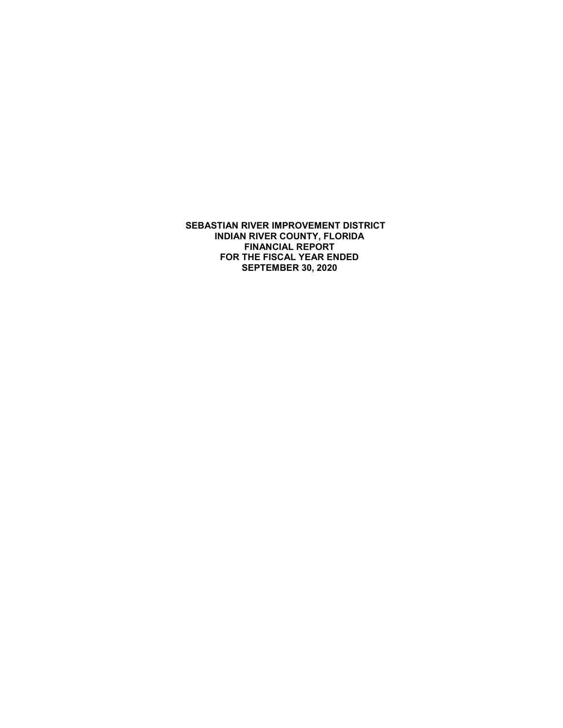**SEBASTIAN RIVER IMPROVEMENT DISTRICT INDIAN RIVER COUNTY, FLORIDA FINANCIAL REPORT FOR THE FISCAL YEAR ENDED SEPTEMBER 30, 2020**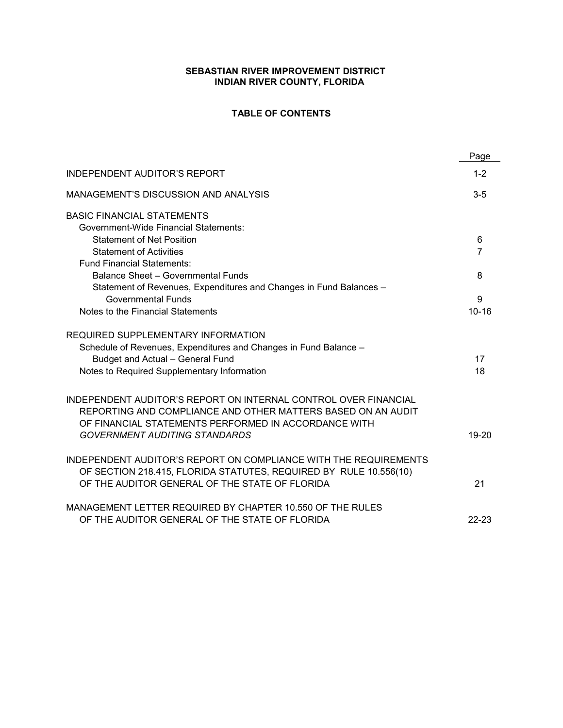# **SEBASTIAN RIVER IMPROVEMENT DISTRICT INDIAN RIVER COUNTY, FLORIDA**

# **TABLE OF CONTENTS**

|                                                                    | Page      |
|--------------------------------------------------------------------|-----------|
| INDEPENDENT AUDITOR'S REPORT                                       | $1 - 2$   |
| <b>MANAGEMENT'S DISCUSSION AND ANALYSIS</b>                        | $3 - 5$   |
| <b>BASIC FINANCIAL STATEMENTS</b>                                  |           |
| <b>Government-Wide Financial Statements:</b>                       |           |
| <b>Statement of Net Position</b><br><b>Statement of Activities</b> | 6<br>7    |
| <b>Fund Financial Statements:</b>                                  |           |
| <b>Balance Sheet - Governmental Funds</b>                          | 8         |
| Statement of Revenues, Expenditures and Changes in Fund Balances - |           |
| Governmental Funds                                                 | 9         |
| Notes to the Financial Statements                                  | $10 - 16$ |
| <b>REQUIRED SUPPLEMENTARY INFORMATION</b>                          |           |
| Schedule of Revenues, Expenditures and Changes in Fund Balance -   |           |
| Budget and Actual - General Fund                                   | 17        |
| Notes to Required Supplementary Information                        | 18        |
| INDEPENDENT AUDITOR'S REPORT ON INTERNAL CONTROL OVER FINANCIAL    |           |
| REPORTING AND COMPLIANCE AND OTHER MATTERS BASED ON AN AUDIT       |           |
| OF FINANCIAL STATEMENTS PERFORMED IN ACCORDANCE WITH               |           |
| <b>GOVERNMENT AUDITING STANDARDS</b>                               | $19 - 20$ |
| INDEPENDENT AUDITOR'S REPORT ON COMPLIANCE WITH THE REQUIREMENTS   |           |
| OF SECTION 218.415, FLORIDA STATUTES, REQUIRED BY RULE 10.556(10)  |           |
| OF THE AUDITOR GENERAL OF THE STATE OF FLORIDA                     | 21        |
| MANAGEMENT LETTER REQUIRED BY CHAPTER 10.550 OF THE RULES          |           |
| OF THE AUDITOR GENERAL OF THE STATE OF FLORIDA                     | 22-23     |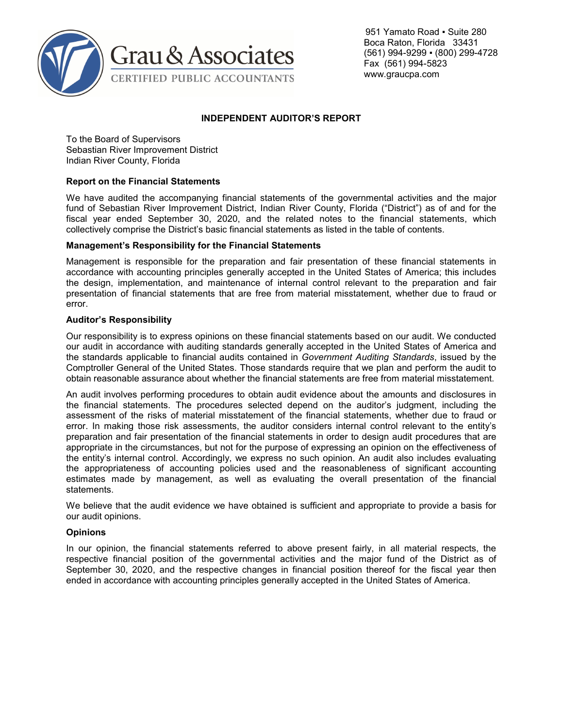

951 Yamato Road · Suite 280 Boca Raton, Florida 33431 (561) 994-9299 ▪ (800) 299-4728 Fax (561) 994-5823 www.graucpa.com

# **INDEPENDENT AUDITOR'S REPORT**

To the Board of Supervisors Sebastian River Improvement District Indian River County, Florida

# **Report on the Financial Statements**

We have audited the accompanying financial statements of the governmental activities and the major fund of Sebastian River Improvement District, Indian River County, Florida ("District") as of and for the fiscal year ended September 30, 2020, and the related notes to the financial statements, which collectively comprise the District's basic financial statements as listed in the table of contents.

# **Management's Responsibility for the Financial Statements**

Management is responsible for the preparation and fair presentation of these financial statements in accordance with accounting principles generally accepted in the United States of America; this includes the design, implementation, and maintenance of internal control relevant to the preparation and fair presentation of financial statements that are free from material misstatement, whether due to fraud or error.

## **Auditor's Responsibility**

Our responsibility is to express opinions on these financial statements based on our audit. We conducted our audit in accordance with auditing standards generally accepted in the United States of America and the standards applicable to financial audits contained in *Government Auditing Standards*, issued by the Comptroller General of the United States. Those standards require that we plan and perform the audit to obtain reasonable assurance about whether the financial statements are free from material misstatement.

An audit involves performing procedures to obtain audit evidence about the amounts and disclosures in the financial statements. The procedures selected depend on the auditor's judgment, including the assessment of the risks of material misstatement of the financial statements, whether due to fraud or error. In making those risk assessments, the auditor considers internal control relevant to the entity's preparation and fair presentation of the financial statements in order to design audit procedures that are appropriate in the circumstances, but not for the purpose of expressing an opinion on the effectiveness of the entity's internal control. Accordingly, we express no such opinion. An audit also includes evaluating the appropriateness of accounting policies used and the reasonableness of significant accounting estimates made by management, as well as evaluating the overall presentation of the financial statements.

We believe that the audit evidence we have obtained is sufficient and appropriate to provide a basis for our audit opinions.

## **Opinions**

In our opinion, the financial statements referred to above present fairly, in all material respects, the respective financial position of the governmental activities and the major fund of the District as of September 30, 2020, and the respective changes in financial position thereof for the fiscal year then ended in accordance with accounting principles generally accepted in the United States of America.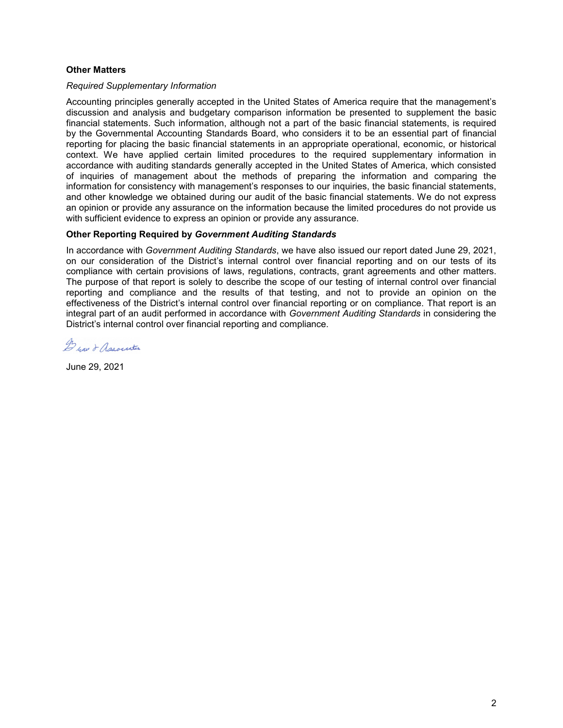## **Other Matters**

#### *Required Supplementary Information*

Accounting principles generally accepted in the United States of America require that the management's discussion and analysis and budgetary comparison information be presented to supplement the basic financial statements. Such information, although not a part of the basic financial statements, is required by the Governmental Accounting Standards Board, who considers it to be an essential part of financial reporting for placing the basic financial statements in an appropriate operational, economic, or historical context. We have applied certain limited procedures to the required supplementary information in accordance with auditing standards generally accepted in the United States of America, which consisted of inquiries of management about the methods of preparing the information and comparing the information for consistency with management's responses to our inquiries, the basic financial statements, and other knowledge we obtained during our audit of the basic financial statements. We do not express an opinion or provide any assurance on the information because the limited procedures do not provide us with sufficient evidence to express an opinion or provide any assurance.

## **Other Reporting Required by** *Government Auditing Standards*

In accordance with *Government Auditing Standards*, we have also issued our report dated June 29, 2021, on our consideration of the District's internal control over financial reporting and on our tests of its compliance with certain provisions of laws, regulations, contracts, grant agreements and other matters. The purpose of that report is solely to describe the scope of our testing of internal control over financial reporting and compliance and the results of that testing, and not to provide an opinion on the effectiveness of the District's internal control over financial reporting or on compliance. That report is an integral part of an audit performed in accordance with *Government Auditing Standards* in considering the District's internal control over financial reporting and compliance.

Derar & Association

June 29, 2021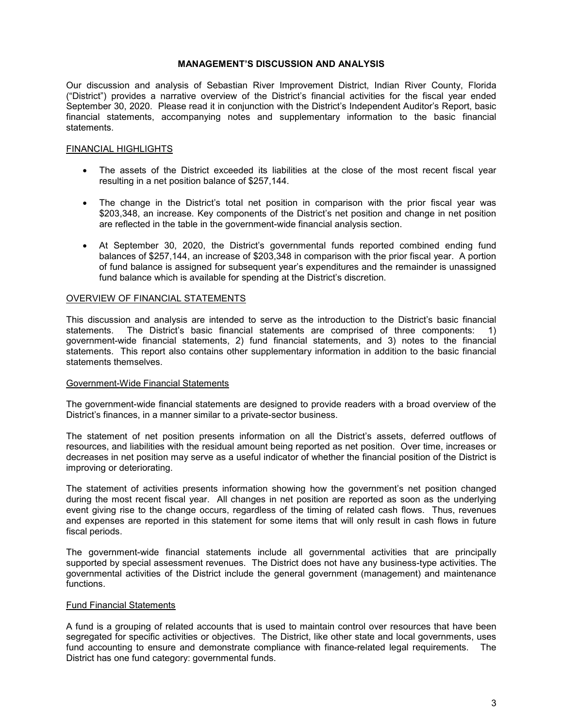## **MANAGEMENT'S DISCUSSION AND ANALYSIS**

Our discussion and analysis of Sebastian River Improvement District, Indian River County, Florida ("District") provides a narrative overview of the District's financial activities for the fiscal year ended September 30, 2020. Please read it in conjunction with the District's Independent Auditor's Report, basic financial statements, accompanying notes and supplementary information to the basic financial statements.

# FINANCIAL HIGHLIGHTS

- The assets of the District exceeded its liabilities at the close of the most recent fiscal year resulting in a net position balance of \$257,144.
- The change in the District's total net position in comparison with the prior fiscal year was \$203,348, an increase. Key components of the District's net position and change in net position are reflected in the table in the government-wide financial analysis section.
- At September 30, 2020, the District's governmental funds reported combined ending fund balances of \$257,144, an increase of \$203,348 in comparison with the prior fiscal year. A portion of fund balance is assigned for subsequent year's expenditures and the remainder is unassigned fund balance which is available for spending at the District's discretion.

## OVERVIEW OF FINANCIAL STATEMENTS

This discussion and analysis are intended to serve as the introduction to the District's basic financial statements. The District's basic financial statements are comprised of three components: 1) government-wide financial statements, 2) fund financial statements, and 3) notes to the financial statements. This report also contains other supplementary information in addition to the basic financial statements themselves.

## Government-Wide Financial Statements

The government-wide financial statements are designed to provide readers with a broad overview of the District's finances, in a manner similar to a private-sector business.

The statement of net position presents information on all the District's assets, deferred outflows of resources, and liabilities with the residual amount being reported as net position. Over time, increases or decreases in net position may serve as a useful indicator of whether the financial position of the District is improving or deteriorating.

The statement of activities presents information showing how the government's net position changed during the most recent fiscal year. All changes in net position are reported as soon as the underlying event giving rise to the change occurs, regardless of the timing of related cash flows. Thus, revenues and expenses are reported in this statement for some items that will only result in cash flows in future fiscal periods.

The government-wide financial statements include all governmental activities that are principally supported by special assessment revenues. The District does not have any business-type activities. The governmental activities of the District include the general government (management) and maintenance functions.

## Fund Financial Statements

A fund is a grouping of related accounts that is used to maintain control over resources that have been segregated for specific activities or objectives. The District, like other state and local governments, uses fund accounting to ensure and demonstrate compliance with finance-related legal requirements. The District has one fund category: governmental funds.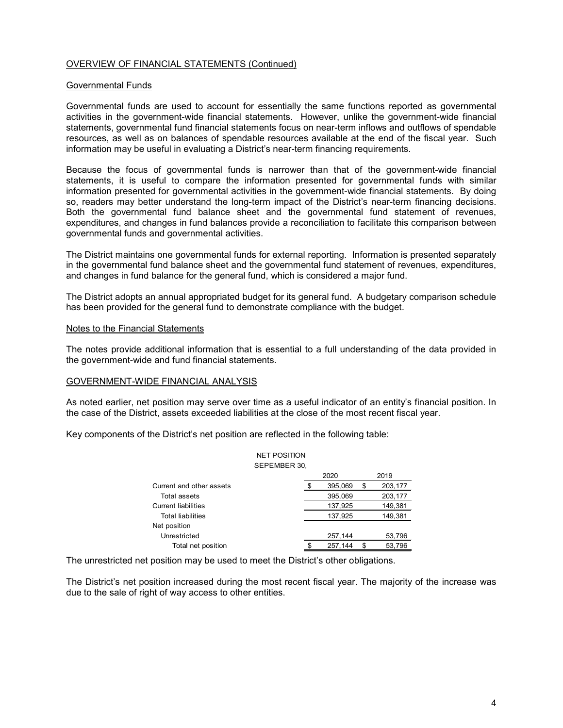# OVERVIEW OF FINANCIAL STATEMENTS (Continued)

#### Governmental Funds

Governmental funds are used to account for essentially the same functions reported as governmental activities in the government-wide financial statements. However, unlike the government-wide financial statements, governmental fund financial statements focus on near-term inflows and outflows of spendable resources, as well as on balances of spendable resources available at the end of the fiscal year. Such information may be useful in evaluating a District's near-term financing requirements.

Because the focus of governmental funds is narrower than that of the government-wide financial statements, it is useful to compare the information presented for governmental funds with similar information presented for governmental activities in the government-wide financial statements. By doing so, readers may better understand the long-term impact of the District's near-term financing decisions. Both the governmental fund balance sheet and the governmental fund statement of revenues, expenditures, and changes in fund balances provide a reconciliation to facilitate this comparison between governmental funds and governmental activities.

The District maintains one governmental funds for external reporting. Information is presented separately in the governmental fund balance sheet and the governmental fund statement of revenues, expenditures, and changes in fund balance for the general fund, which is considered a major fund.

The District adopts an annual appropriated budget for its general fund. A budgetary comparison schedule has been provided for the general fund to demonstrate compliance with the budget.

#### Notes to the Financial Statements

The notes provide additional information that is essential to a full understanding of the data provided in the government-wide and fund financial statements.

#### GOVERNMENT-WIDE FINANCIAL ANALYSIS

As noted earlier, net position may serve over time as a useful indicator of an entity's financial position. In the case of the District, assets exceeded liabilities at the close of the most recent fiscal year.

Key components of the District's net position are reflected in the following table:

| <b>NET POSITION</b><br>SEPEMBER 30. |  |         |   |         |  |  |
|-------------------------------------|--|---------|---|---------|--|--|
|                                     |  | 2020    |   | 2019    |  |  |
| Current and other assets            |  | 395,069 | S | 203,177 |  |  |
| Total assets                        |  | 395,069 |   | 203,177 |  |  |
| <b>Current liabilities</b>          |  | 137,925 |   | 149,381 |  |  |
| <b>Total liabilities</b>            |  | 137,925 |   | 149,381 |  |  |
| Net position                        |  |         |   |         |  |  |
| Unrestricted                        |  | 257,144 |   | 53,796  |  |  |
| Total net position                  |  | 257,144 |   | 53,796  |  |  |

The unrestricted net position may be used to meet the District's other obligations.

The District's net position increased during the most recent fiscal year. The majority of the increase was due to the sale of right of way access to other entities.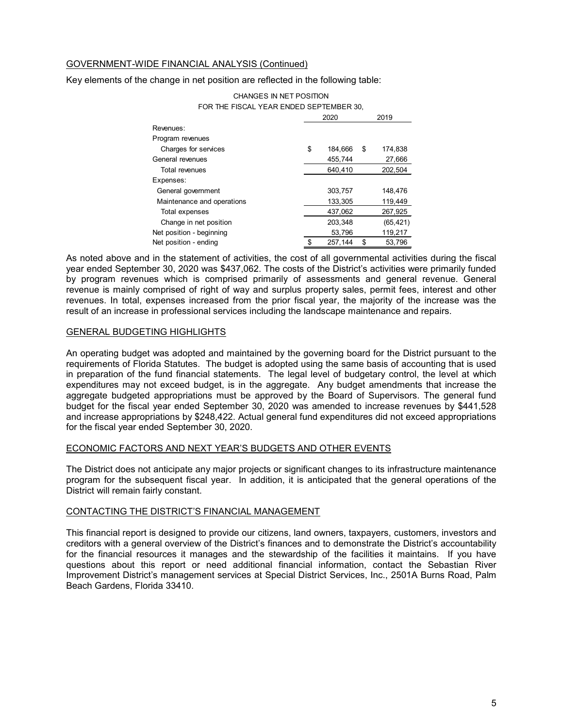# GOVERNMENT-WIDE FINANCIAL ANALYSIS (Continued)

#### Key elements of the change in net position are reflected in the following table:

| FOR THE FISCAL YEAR ENDED SEPTEMBER 30, |         |         |    |           |  |  |
|-----------------------------------------|---------|---------|----|-----------|--|--|
|                                         | 2020    |         |    | 2019      |  |  |
| Revenues:                               |         |         |    |           |  |  |
| Program revenues                        |         |         |    |           |  |  |
| Charges for services                    | \$      | 184,666 | \$ | 174,838   |  |  |
| General revenues                        |         | 455.744 |    | 27,666    |  |  |
| Total revenues                          | 640,410 |         |    | 202,504   |  |  |
| Expenses:                               |         |         |    |           |  |  |
| General government                      |         | 303,757 |    | 148,476   |  |  |
| Maintenance and operations              |         | 133,305 |    | 119,449   |  |  |
| Total expenses                          |         | 437,062 |    | 267,925   |  |  |
| Change in net position                  |         | 203,348 |    | (65, 421) |  |  |
| Net position - beginning                |         | 53,796  |    | 119,217   |  |  |
| Net position - ending                   | \$      | 257,144 | \$ | 53,796    |  |  |

CHANGES IN NET POSITION

As noted above and in the statement of activities, the cost of all governmental activities during the fiscal year ended September 30, 2020 was \$437,062. The costs of the District's activities were primarily funded by program revenues which is comprised primarily of assessments and general revenue. General revenue is mainly comprised of right of way and surplus property sales, permit fees, interest and other revenues. In total, expenses increased from the prior fiscal year, the majority of the increase was the result of an increase in professional services including the landscape maintenance and repairs.

## GENERAL BUDGETING HIGHLIGHTS

An operating budget was adopted and maintained by the governing board for the District pursuant to the requirements of Florida Statutes. The budget is adopted using the same basis of accounting that is used in preparation of the fund financial statements. The legal level of budgetary control, the level at which expenditures may not exceed budget, is in the aggregate. Any budget amendments that increase the aggregate budgeted appropriations must be approved by the Board of Supervisors. The general fund budget for the fiscal year ended September 30, 2020 was amended to increase revenues by \$441,528 and increase appropriations by \$248,422. Actual general fund expenditures did not exceed appropriations for the fiscal year ended September 30, 2020.

## ECONOMIC FACTORS AND NEXT YEAR'S BUDGETS AND OTHER EVENTS

The District does not anticipate any major projects or significant changes to its infrastructure maintenance program for the subsequent fiscal year. In addition, it is anticipated that the general operations of the District will remain fairly constant.

## CONTACTING THE DISTRICT'S FINANCIAL MANAGEMENT

This financial report is designed to provide our citizens, land owners, taxpayers, customers, investors and creditors with a general overview of the District's finances and to demonstrate the District's accountability for the financial resources it manages and the stewardship of the facilities it maintains. If you have questions about this report or need additional financial information, contact the Sebastian River Improvement District's management services at Special District Services, Inc., 2501A Burns Road, Palm Beach Gardens, Florida 33410.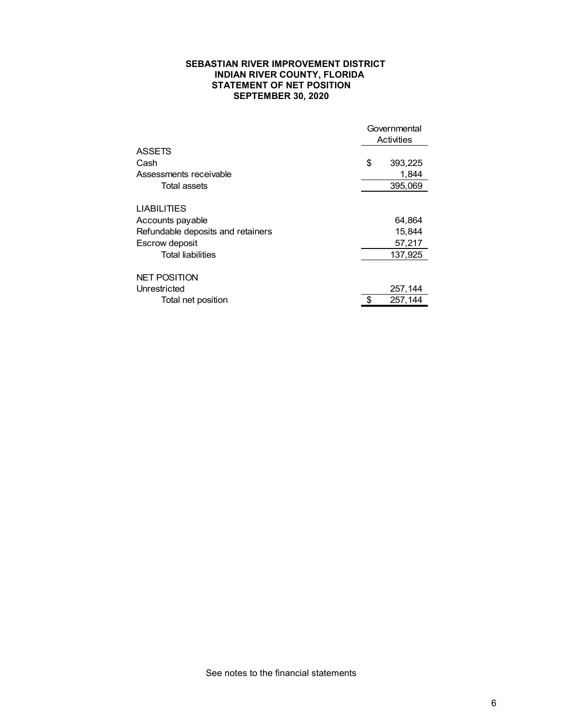# **SEBASTIAN RIVER IMPROVEMENT DISTRICT INDIAN RIVER COUNTY, FLORIDA STATEMENT OF NET POSITION SEPTEMBER 30, 2020**

|                                   | Governmental<br>Activities |
|-----------------------------------|----------------------------|
| <b>ASSETS</b>                     |                            |
| Cash                              | 393,225<br>\$              |
| Assessments receivable            | 1,844                      |
| Total assets                      | 395,069                    |
| <b>LIABILITIES</b>                |                            |
| Accounts payable                  | 64,864                     |
| Refundable deposits and retainers | 15,844                     |
| Escrow deposit                    | 57,217                     |
| <b>Total liabilities</b>          | 137.925                    |
| <b>NET POSITION</b>               |                            |
| Unrestricted                      | 257,144                    |
| Total net position                | ፍ<br>257,144               |
|                                   |                            |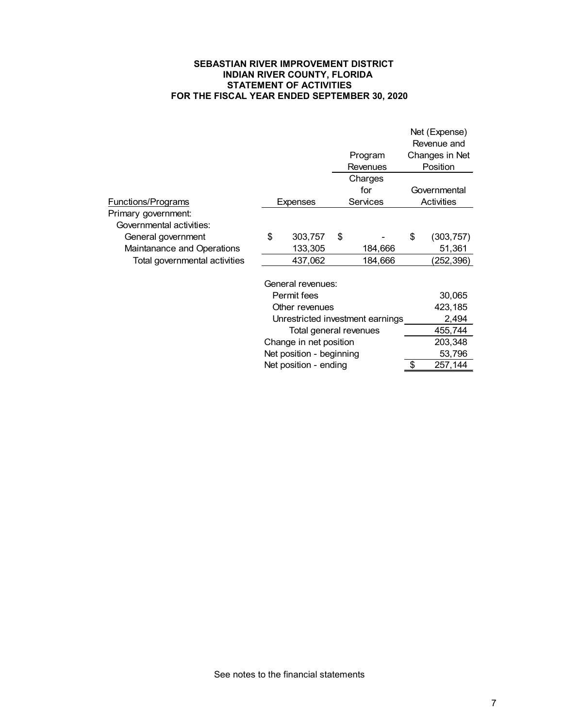#### **SEBASTIAN RIVER IMPROVEMENT DISTRICT INDIAN RIVER COUNTY, FLORIDA STATEMENT OF ACTIVITIES FOR THE FISCAL YEAR ENDED SEPTEMBER 30, 2020**

|                               |                                                  |                          |    |                                  |                | Net (Expense)<br>Revenue and |  |  |
|-------------------------------|--------------------------------------------------|--------------------------|----|----------------------------------|----------------|------------------------------|--|--|
|                               | Program                                          |                          |    |                                  | Changes in Net |                              |  |  |
|                               |                                                  |                          |    | <b>Revenues</b>                  | Position       |                              |  |  |
|                               |                                                  |                          |    | Charges                          |                |                              |  |  |
|                               |                                                  |                          |    | for                              |                | Governmental                 |  |  |
| <b>Functions/Programs</b>     |                                                  | <b>Expenses</b>          |    | <b>Services</b>                  |                | Activities                   |  |  |
| Primary government:           |                                                  |                          |    |                                  |                |                              |  |  |
| Governmental activities:      |                                                  |                          |    |                                  |                |                              |  |  |
| General government            | \$                                               | 303,757                  | \$ |                                  | \$             | (303, 757)                   |  |  |
| Maintanance and Operations    |                                                  | 133,305                  |    | 184,666                          |                | 51,361                       |  |  |
| Total governmental activities |                                                  | 437,062                  |    | 184,666                          |                | (252, 396)                   |  |  |
|                               |                                                  | General revenues:        |    |                                  |                |                              |  |  |
|                               |                                                  | Permit fees              |    |                                  |                | 30,065                       |  |  |
|                               |                                                  | Other revenues           |    |                                  |                | 423,185                      |  |  |
|                               |                                                  |                          |    | Unrestricted investment earnings |                | 2,494                        |  |  |
|                               | Total general revenues<br>Change in net position |                          |    |                                  |                | 455,744                      |  |  |
|                               |                                                  |                          |    |                                  |                | 203,348                      |  |  |
|                               |                                                  | Net position - beginning |    |                                  |                | 53,796                       |  |  |
| Net position - ending         |                                                  |                          |    |                                  | \$             | 257,144                      |  |  |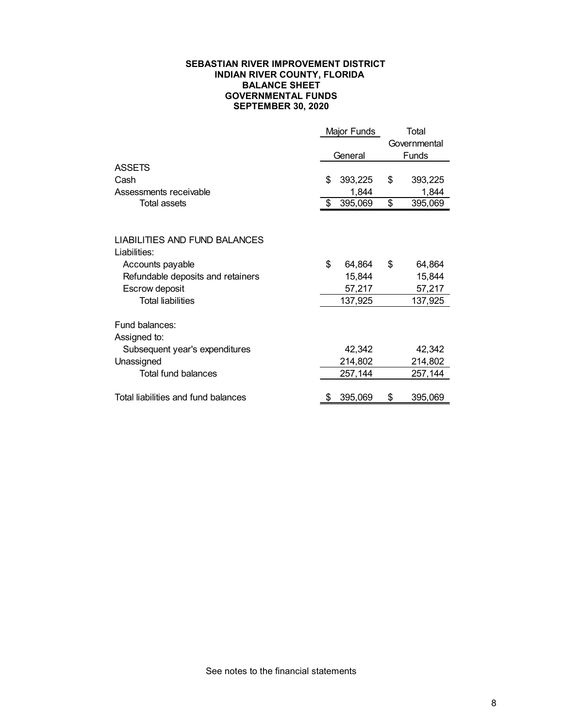#### **SEBASTIAN RIVER IMPROVEMENT DISTRICT INDIAN RIVER COUNTY, FLORIDA BALANCE SHEET GOVERNMENTAL FUNDS SEPTEMBER 30, 2020**

|                                      |    | Major Funds | Total        |         |  |
|--------------------------------------|----|-------------|--------------|---------|--|
|                                      |    |             | Governmental |         |  |
|                                      |    | General     | <b>Funds</b> |         |  |
| <b>ASSETS</b>                        |    |             |              |         |  |
| Cash                                 | \$ | 393,225     | \$           | 393,225 |  |
| Assessments receivable               |    | 1,844       |              | 1,844   |  |
| <b>Total assets</b>                  | \$ | 395,069     | \$           | 395,069 |  |
| <b>LIABILITIES AND FUND BALANCES</b> |    |             |              |         |  |
| Liabilities:                         |    |             |              |         |  |
| Accounts payable                     | \$ | 64,864      | \$           | 64,864  |  |
| Refundable deposits and retainers    |    | 15,844      |              | 15,844  |  |
| Escrow deposit                       |    | 57,217      |              | 57,217  |  |
| <b>Total liabilities</b>             |    | 137,925     |              | 137,925 |  |
| Fund balances:<br>Assigned to:       |    |             |              |         |  |
| Subsequent year's expenditures       |    | 42,342      |              | 42,342  |  |
| Unassigned                           |    | 214,802     |              | 214,802 |  |
| <b>Total fund balances</b>           |    | 257,144     |              | 257,144 |  |
| Total liabilities and fund balances  | S  | 395,069     | \$           | 395,069 |  |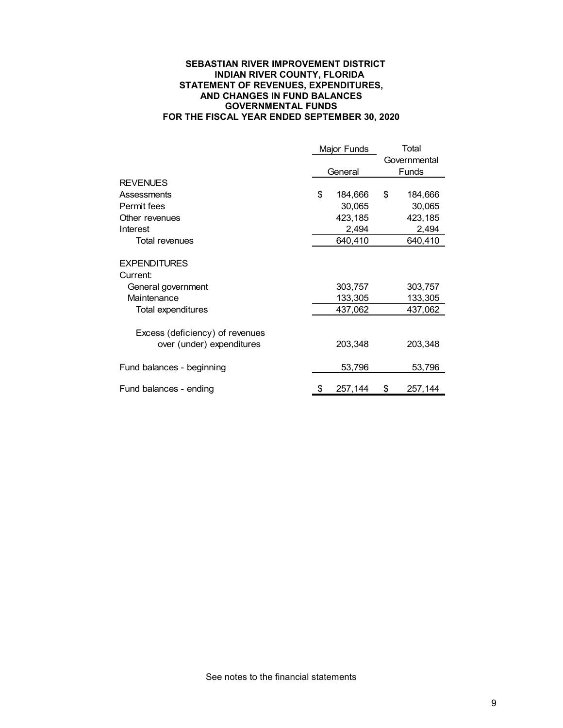## **SEBASTIAN RIVER IMPROVEMENT DISTRICT INDIAN RIVER COUNTY, FLORIDA STATEMENT OF REVENUES, EXPENDITURES, AND CHANGES IN FUND BALANCES GOVERNMENTAL FUNDS FOR THE FISCAL YEAR ENDED SEPTEMBER 30, 2020**

|                                 | Major Funds   | Total        |         |  |  |
|---------------------------------|---------------|--------------|---------|--|--|
|                                 |               | Governmental |         |  |  |
|                                 | General       | <b>Funds</b> |         |  |  |
| <b>REVENUES</b>                 |               |              |         |  |  |
| Assessments                     | \$<br>184,666 | \$           | 184,666 |  |  |
| <b>Permit fees</b>              | 30,065        |              | 30,065  |  |  |
| Other revenues                  | 423,185       |              | 423,185 |  |  |
| Interest                        | 2,494         | 2,494        |         |  |  |
| <b>Total revenues</b>           | 640,410       | 640,410      |         |  |  |
| <b>EXPENDITURES</b>             |               |              |         |  |  |
| Current:                        |               |              |         |  |  |
| General government              | 303,757       |              | 303,757 |  |  |
| Maintenance                     | 133,305       | 133,305      |         |  |  |
| Total expenditures              | 437,062       | 437,062      |         |  |  |
| Excess (deficiency) of revenues |               |              |         |  |  |
| over (under) expenditures       | 203,348       |              | 203,348 |  |  |
| Fund balances - beginning       | 53,796        |              | 53,796  |  |  |
| Fund balances - ending          | \$<br>257,144 | \$           | 257,144 |  |  |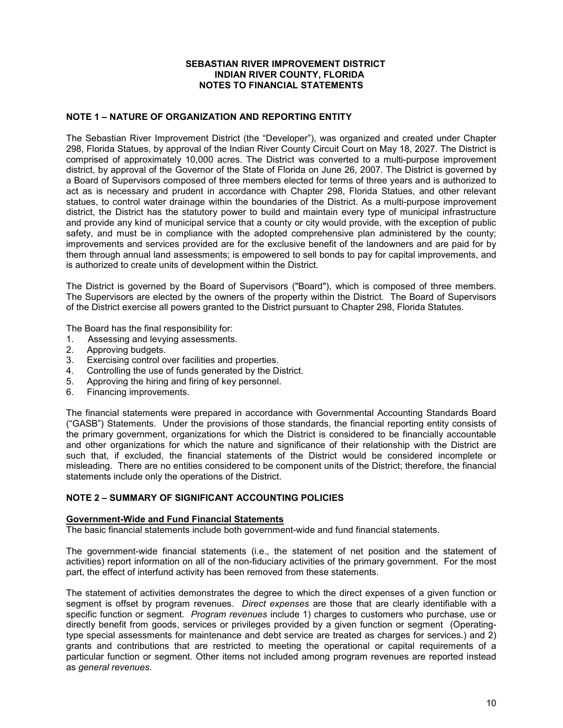#### **SEBASTIAN RIVER IMPROVEMENT DISTRICT INDIAN RIVER COUNTY, FLORIDA NOTES TO FINANCIAL STATEMENTS**

# **NOTE 1 – NATURE OF ORGANIZATION AND REPORTING ENTITY**

The Sebastian River Improvement District (the "Developer"), was organized and created under Chapter 298, Florida Statues, by approval of the Indian River County Circuit Court on May 18, 2027. The District is comprised of approximately 10,000 acres. The District was converted to a multi-purpose improvement district, by approval of the Governor of the State of Florida on June 26, 2007. The District is governed by a Board of Supervisors composed of three members elected for terms of three years and is authorized to act as is necessary and prudent in accordance with Chapter 298, Florida Statues, and other relevant statues, to control water drainage within the boundaries of the District. As a multi-purpose improvement district, the District has the statutory power to build and maintain every type of municipal infrastructure and provide any kind of municipal service that a county or city would provide, with the exception of public safety, and must be in compliance with the adopted comprehensive plan administered by the county; improvements and services provided are for the exclusive benefit of the landowners and are paid for by them through annual land assessments; is empowered to sell bonds to pay for capital improvements, and is authorized to create units of development within the District.

The District is governed by the Board of Supervisors ("Board"), which is composed of three members. The Supervisors are elected by the owners of the property within the District. The Board of Supervisors of the District exercise all powers granted to the District pursuant to Chapter 298, Florida Statutes.

The Board has the final responsibility for:

- 1. Assessing and levying assessments.
- 2. Approving budgets.<br>3. Exercising control of
- Exercising control over facilities and properties.
- 4. Controlling the use of funds generated by the District.
- 5. Approving the hiring and firing of key personnel.
- 6. Financing improvements.

The financial statements were prepared in accordance with Governmental Accounting Standards Board ("GASB") Statements. Under the provisions of those standards, the financial reporting entity consists of the primary government, organizations for which the District is considered to be financially accountable and other organizations for which the nature and significance of their relationship with the District are such that, if excluded, the financial statements of the District would be considered incomplete or misleading. There are no entities considered to be component units of the District; therefore, the financial statements include only the operations of the District.

## **NOTE 2 – SUMMARY OF SIGNIFICANT ACCOUNTING POLICIES**

## **Government-Wide and Fund Financial Statements**

The basic financial statements include both government-wide and fund financial statements.

The government-wide financial statements (i.e., the statement of net position and the statement of activities) report information on all of the non-fiduciary activities of the primary government. For the most part, the effect of interfund activity has been removed from these statements.

The statement of activities demonstrates the degree to which the direct expenses of a given function or segment is offset by program revenues. *Direct expenses* are those that are clearly identifiable with a specific function or segment. *Program revenues* include 1) charges to customers who purchase, use or directly benefit from goods, services or privileges provided by a given function or segment (Operatingtype special assessments for maintenance and debt service are treated as charges for services.) and 2) grants and contributions that are restricted to meeting the operational or capital requirements of a particular function or segment. Other items not included among program revenues are reported instead as *general revenues*.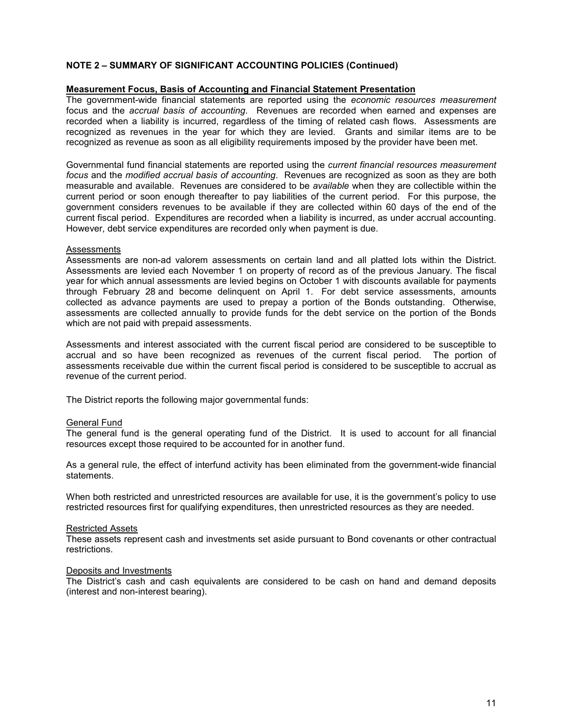#### **Measurement Focus, Basis of Accounting and Financial Statement Presentation**

The government-wide financial statements are reported using the *economic resources measurement* focus and the *accrual basis of accounting*. Revenues are recorded when earned and expenses are recorded when a liability is incurred, regardless of the timing of related cash flows. Assessments are recognized as revenues in the year for which they are levied. Grants and similar items are to be recognized as revenue as soon as all eligibility requirements imposed by the provider have been met.

Governmental fund financial statements are reported using the *current financial resources measurement focus* and the *modified accrual basis of accounting*. Revenues are recognized as soon as they are both measurable and available. Revenues are considered to be *available* when they are collectible within the current period or soon enough thereafter to pay liabilities of the current period. For this purpose, the government considers revenues to be available if they are collected within 60 days of the end of the current fiscal period. Expenditures are recorded when a liability is incurred, as under accrual accounting. However, debt service expenditures are recorded only when payment is due.

#### **Assessments**

Assessments are non-ad valorem assessments on certain land and all platted lots within the District. Assessments are levied each November 1 on property of record as of the previous January. The fiscal year for which annual assessments are levied begins on October 1 with discounts available for payments through February 28 and become delinquent on April 1. For debt service assessments, amounts collected as advance payments are used to prepay a portion of the Bonds outstanding. Otherwise, assessments are collected annually to provide funds for the debt service on the portion of the Bonds which are not paid with prepaid assessments.

Assessments and interest associated with the current fiscal period are considered to be susceptible to accrual and so have been recognized as revenues of the current fiscal period. The portion of assessments receivable due within the current fiscal period is considered to be susceptible to accrual as revenue of the current period.

The District reports the following major governmental funds:

#### General Fund

The general fund is the general operating fund of the District. It is used to account for all financial resources except those required to be accounted for in another fund.

As a general rule, the effect of interfund activity has been eliminated from the government-wide financial statements.

When both restricted and unrestricted resources are available for use, it is the government's policy to use restricted resources first for qualifying expenditures, then unrestricted resources as they are needed.

#### Restricted Assets

These assets represent cash and investments set aside pursuant to Bond covenants or other contractual restrictions.

#### Deposits and Investments

The District's cash and cash equivalents are considered to be cash on hand and demand deposits (interest and non-interest bearing).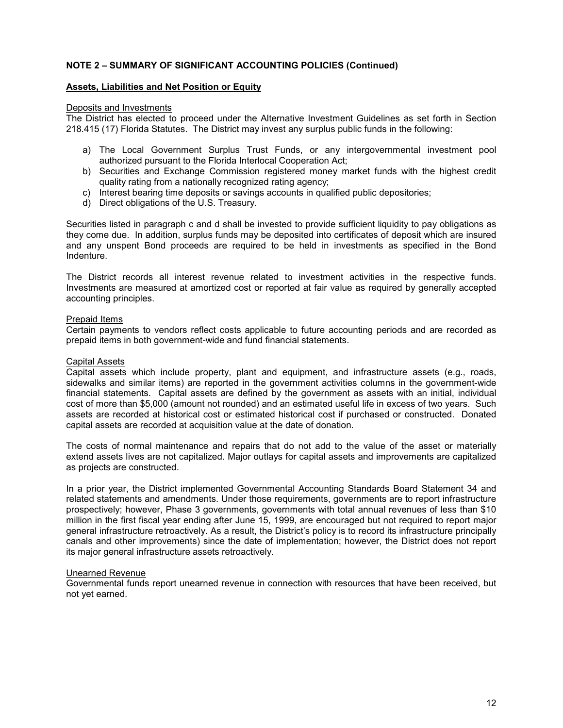# **Assets, Liabilities and Net Position or Equity**

#### Deposits and Investments

The District has elected to proceed under the Alternative Investment Guidelines as set forth in Section 218.415 (17) Florida Statutes. The District may invest any surplus public funds in the following:

- a) The Local Government Surplus Trust Funds, or any intergovernmental investment pool authorized pursuant to the Florida Interlocal Cooperation Act;
- b) Securities and Exchange Commission registered money market funds with the highest credit quality rating from a nationally recognized rating agency;
- c) Interest bearing time deposits or savings accounts in qualified public depositories;
- d) Direct obligations of the U.S. Treasury.

Securities listed in paragraph c and d shall be invested to provide sufficient liquidity to pay obligations as they come due. In addition, surplus funds may be deposited into certificates of deposit which are insured and any unspent Bond proceeds are required to be held in investments as specified in the Bond Indenture.

The District records all interest revenue related to investment activities in the respective funds. Investments are measured at amortized cost or reported at fair value as required by generally accepted accounting principles.

#### Prepaid Items

Certain payments to vendors reflect costs applicable to future accounting periods and are recorded as prepaid items in both government-wide and fund financial statements.

#### Capital Assets

Capital assets which include property, plant and equipment, and infrastructure assets (e.g., roads, sidewalks and similar items) are reported in the government activities columns in the government-wide financial statements. Capital assets are defined by the government as assets with an initial, individual cost of more than \$5,000 (amount not rounded) and an estimated useful life in excess of two years. Such assets are recorded at historical cost or estimated historical cost if purchased or constructed. Donated capital assets are recorded at acquisition value at the date of donation.

The costs of normal maintenance and repairs that do not add to the value of the asset or materially extend assets lives are not capitalized. Major outlays for capital assets and improvements are capitalized as projects are constructed.

In a prior year, the District implemented Governmental Accounting Standards Board Statement 34 and related statements and amendments. Under those requirements, governments are to report infrastructure prospectively; however, Phase 3 governments, governments with total annual revenues of less than \$10 million in the first fiscal year ending after June 15, 1999, are encouraged but not required to report major general infrastructure retroactively. As a result, the District's policy is to record its infrastructure principally canals and other improvements) since the date of implementation; however, the District does not report its major general infrastructure assets retroactively.

## Unearned Revenue

Governmental funds report unearned revenue in connection with resources that have been received, but not yet earned.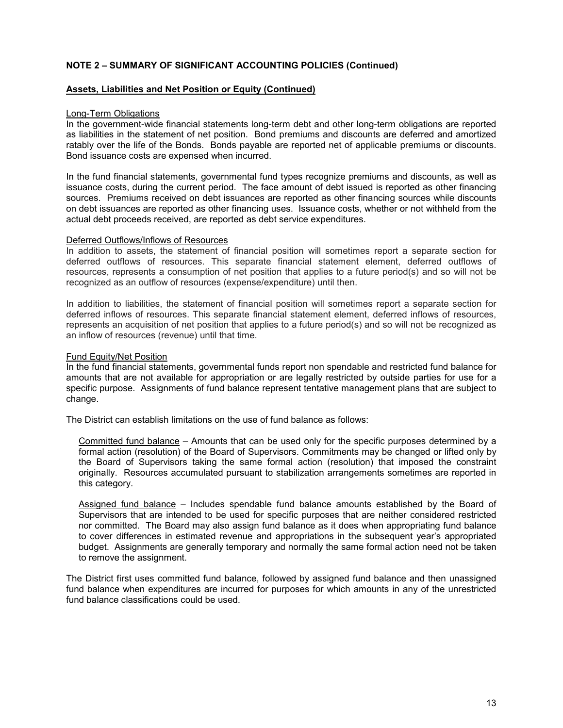## **Assets, Liabilities and Net Position or Equity (Continued)**

## Long-Term Obligations

In the government-wide financial statements long-term debt and other long-term obligations are reported as liabilities in the statement of net position. Bond premiums and discounts are deferred and amortized ratably over the life of the Bonds. Bonds payable are reported net of applicable premiums or discounts. Bond issuance costs are expensed when incurred.

In the fund financial statements, governmental fund types recognize premiums and discounts, as well as issuance costs, during the current period. The face amount of debt issued is reported as other financing sources. Premiums received on debt issuances are reported as other financing sources while discounts on debt issuances are reported as other financing uses. Issuance costs, whether or not withheld from the actual debt proceeds received, are reported as debt service expenditures.

#### Deferred Outflows/Inflows of Resources

In addition to assets, the statement of financial position will sometimes report a separate section for deferred outflows of resources. This separate financial statement element, deferred outflows of resources, represents a consumption of net position that applies to a future period(s) and so will not be recognized as an outflow of resources (expense/expenditure) until then.

In addition to liabilities, the statement of financial position will sometimes report a separate section for deferred inflows of resources. This separate financial statement element, deferred inflows of resources, represents an acquisition of net position that applies to a future period(s) and so will not be recognized as an inflow of resources (revenue) until that time.

## Fund Equity/Net Position

In the fund financial statements, governmental funds report non spendable and restricted fund balance for amounts that are not available for appropriation or are legally restricted by outside parties for use for a specific purpose. Assignments of fund balance represent tentative management plans that are subject to change.

The District can establish limitations on the use of fund balance as follows:

Committed fund balance – Amounts that can be used only for the specific purposes determined by a formal action (resolution) of the Board of Supervisors. Commitments may be changed or lifted only by the Board of Supervisors taking the same formal action (resolution) that imposed the constraint originally. Resources accumulated pursuant to stabilization arrangements sometimes are reported in this category.

Assigned fund balance – Includes spendable fund balance amounts established by the Board of Supervisors that are intended to be used for specific purposes that are neither considered restricted nor committed. The Board may also assign fund balance as it does when appropriating fund balance to cover differences in estimated revenue and appropriations in the subsequent year's appropriated budget. Assignments are generally temporary and normally the same formal action need not be taken to remove the assignment.

The District first uses committed fund balance, followed by assigned fund balance and then unassigned fund balance when expenditures are incurred for purposes for which amounts in any of the unrestricted fund balance classifications could be used.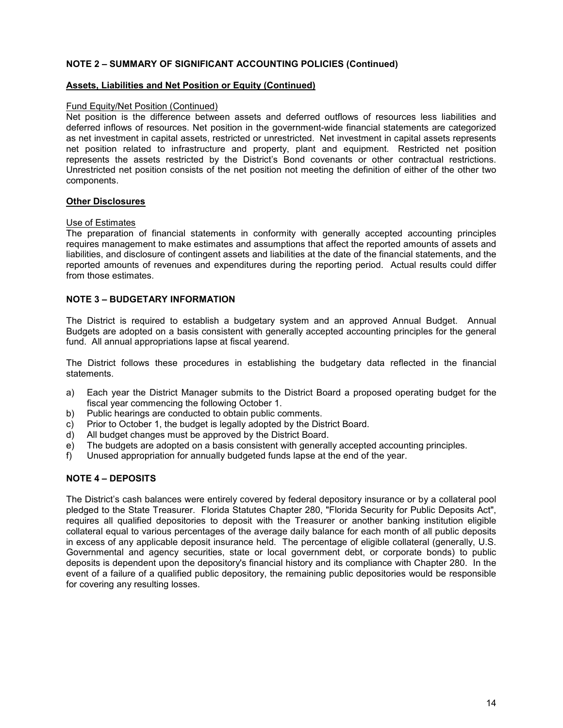#### **Assets, Liabilities and Net Position or Equity (Continued)**

## Fund Equity/Net Position (Continued)

Net position is the difference between assets and deferred outflows of resources less liabilities and deferred inflows of resources. Net position in the government-wide financial statements are categorized as net investment in capital assets, restricted or unrestricted. Net investment in capital assets represents net position related to infrastructure and property, plant and equipment. Restricted net position represents the assets restricted by the District's Bond covenants or other contractual restrictions. Unrestricted net position consists of the net position not meeting the definition of either of the other two components.

#### **Other Disclosures**

#### Use of Estimates

The preparation of financial statements in conformity with generally accepted accounting principles requires management to make estimates and assumptions that affect the reported amounts of assets and liabilities, and disclosure of contingent assets and liabilities at the date of the financial statements, and the reported amounts of revenues and expenditures during the reporting period. Actual results could differ from those estimates.

# **NOTE 3 – BUDGETARY INFORMATION**

The District is required to establish a budgetary system and an approved Annual Budget. Annual Budgets are adopted on a basis consistent with generally accepted accounting principles for the general fund. All annual appropriations lapse at fiscal yearend.

The District follows these procedures in establishing the budgetary data reflected in the financial statements.

- a) Each year the District Manager submits to the District Board a proposed operating budget for the fiscal year commencing the following October 1.
- b) Public hearings are conducted to obtain public comments.
- c) Prior to October 1, the budget is legally adopted by the District Board.<br>
d) All budget changes must be approved by the District Board.
- All budget changes must be approved by the District Board.
- e) The budgets are adopted on a basis consistent with generally accepted accounting principles.
- f) Unused appropriation for annually budgeted funds lapse at the end of the year.

## **NOTE 4 – DEPOSITS**

The District's cash balances were entirely covered by federal depository insurance or by a collateral pool pledged to the State Treasurer. Florida Statutes Chapter 280, "Florida Security for Public Deposits Act", requires all qualified depositories to deposit with the Treasurer or another banking institution eligible collateral equal to various percentages of the average daily balance for each month of all public deposits in excess of any applicable deposit insurance held. The percentage of eligible collateral (generally, U.S. Governmental and agency securities, state or local government debt, or corporate bonds) to public deposits is dependent upon the depository's financial history and its compliance with Chapter 280. In the event of a failure of a qualified public depository, the remaining public depositories would be responsible for covering any resulting losses.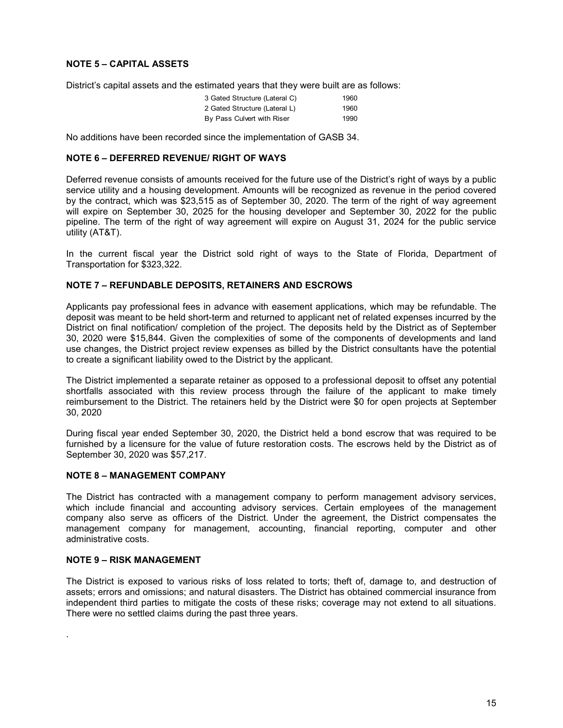# **NOTE 5 – CAPITAL ASSETS**

District's capital assets and the estimated years that they were built are as follows:

| 3 Gated Structure (Lateral C) | 1960 |
|-------------------------------|------|
| 2 Gated Structure (Lateral L) | 1960 |
| By Pass Culvert with Riser    | 1990 |

No additions have been recorded since the implementation of GASB 34.

## **NOTE 6 – DEFERRED REVENUE/ RIGHT OF WAYS**

Deferred revenue consists of amounts received for the future use of the District's right of ways by a public service utility and a housing development. Amounts will be recognized as revenue in the period covered by the contract, which was \$23,515 as of September 30, 2020. The term of the right of way agreement will expire on September 30, 2025 for the housing developer and September 30, 2022 for the public pipeline. The term of the right of way agreement will expire on August 31, 2024 for the public service utility (AT&T).

In the current fiscal year the District sold right of ways to the State of Florida, Department of Transportation for \$323,322.

## **NOTE 7 – REFUNDABLE DEPOSITS, RETAINERS AND ESCROWS**

Applicants pay professional fees in advance with easement applications, which may be refundable. The deposit was meant to be held short-term and returned to applicant net of related expenses incurred by the District on final notification/ completion of the project. The deposits held by the District as of September 30, 2020 were \$15,844. Given the complexities of some of the components of developments and land use changes, the District project review expenses as billed by the District consultants have the potential to create a significant liability owed to the District by the applicant.

The District implemented a separate retainer as opposed to a professional deposit to offset any potential shortfalls associated with this review process through the failure of the applicant to make timely reimbursement to the District. The retainers held by the District were \$0 for open projects at September 30, 2020

During fiscal year ended September 30, 2020, the District held a bond escrow that was required to be furnished by a licensure for the value of future restoration costs. The escrows held by the District as of September 30, 2020 was \$57,217.

## **NOTE 8 – MANAGEMENT COMPANY**

The District has contracted with a management company to perform management advisory services, which include financial and accounting advisory services. Certain employees of the management company also serve as officers of the District. Under the agreement, the District compensates the management company for management, accounting, financial reporting, computer and other administrative costs.

#### **NOTE 9 – RISK MANAGEMENT**

.

The District is exposed to various risks of loss related to torts; theft of, damage to, and destruction of assets; errors and omissions; and natural disasters. The District has obtained commercial insurance from independent third parties to mitigate the costs of these risks; coverage may not extend to all situations. There were no settled claims during the past three years.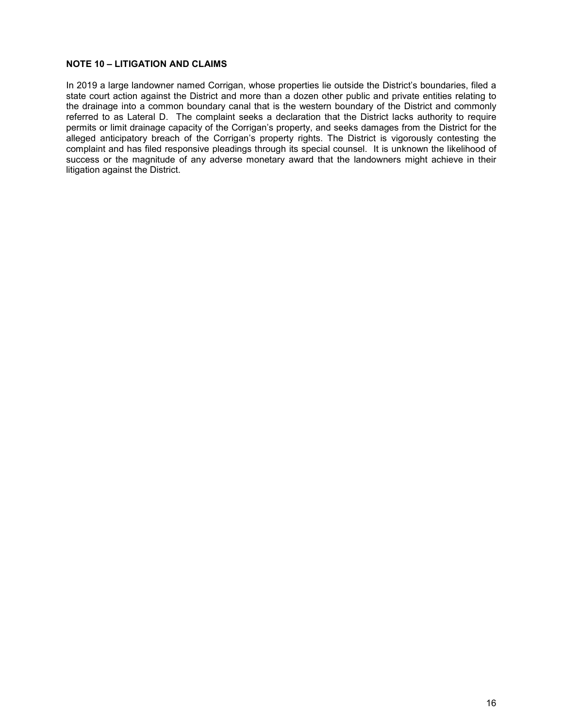# **NOTE 10 – LITIGATION AND CLAIMS**

In 2019 a large landowner named Corrigan, whose properties lie outside the District's boundaries, filed a state court action against the District and more than a dozen other public and private entities relating to the drainage into a common boundary canal that is the western boundary of the District and commonly referred to as Lateral D. The complaint seeks a declaration that the District lacks authority to require permits or limit drainage capacity of the Corrigan's property, and seeks damages from the District for the alleged anticipatory breach of the Corrigan's property rights. The District is vigorously contesting the complaint and has filed responsive pleadings through its special counsel. It is unknown the likelihood of success or the magnitude of any adverse monetary award that the landowners might achieve in their litigation against the District.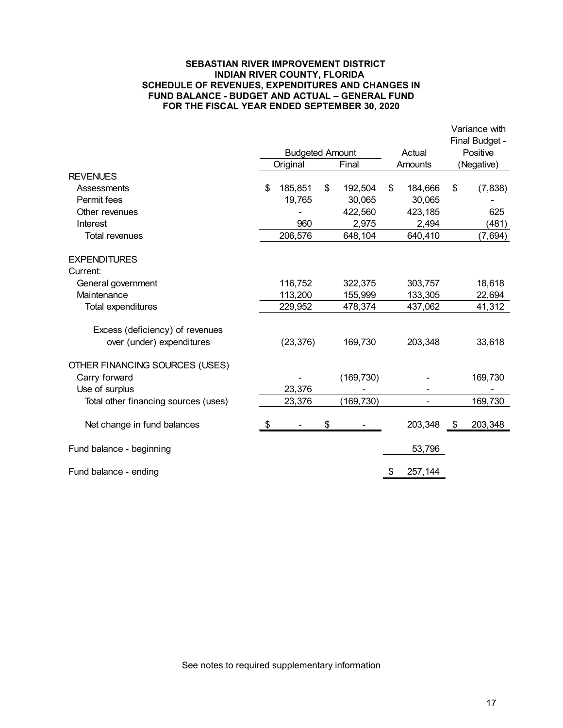## **SEBASTIAN RIVER IMPROVEMENT DISTRICT INDIAN RIVER COUNTY, FLORIDA SCHEDULE OF REVENUES, EXPENDITURES AND CHANGES IN FUND BALANCE - BUDGET AND ACTUAL – GENERAL FUND FOR THE FISCAL YEAR ENDED SEPTEMBER 30, 2020**

|                                                                   |                        |           |         |            |        |                |          | Variance with<br>Final Budget - |
|-------------------------------------------------------------------|------------------------|-----------|---------|------------|--------|----------------|----------|---------------------------------|
|                                                                   | <b>Budgeted Amount</b> |           |         |            | Actual |                | Positive |                                 |
|                                                                   | Final<br>Original      |           | Amounts |            |        | (Negative)     |          |                                 |
| <b>REVENUES</b>                                                   |                        |           |         |            |        |                |          |                                 |
| Assessments                                                       | \$                     | 185,851   | \$      | 192,504    | \$     | 184,666        | \$       | (7, 838)                        |
| Permit fees                                                       |                        | 19,765    |         | 30,065     |        | 30,065         |          |                                 |
| Other revenues                                                    |                        |           |         | 422,560    |        | 423,185        |          | 625                             |
| Interest                                                          |                        | 960       |         | 2,975      |        | 2,494          |          | (481)                           |
| Total revenues                                                    |                        | 206,576   |         | 648,104    |        | 640,410        |          | (7,694)                         |
| <b>EXPENDITURES</b><br>Current:                                   |                        |           |         |            |        |                |          |                                 |
| General government                                                |                        | 116,752   |         | 322,375    |        | 303,757        |          | 18,618                          |
| Maintenance                                                       |                        | 113,200   |         | 155,999    |        | 133,305        |          | 22,694                          |
| Total expenditures                                                |                        | 229,952   |         | 478,374    |        | 437,062        |          | 41,312                          |
| Excess (deficiency) of revenues<br>over (under) expenditures      |                        | (23, 376) |         | 169,730    |        | 203,348        |          | 33,618                          |
| OTHER FINANCING SOURCES (USES)<br>Carry forward<br>Use of surplus |                        | 23,376    |         | (169, 730) |        |                |          | 169,730                         |
| Total other financing sources (uses)                              |                        | 23,376    |         | (169, 730) |        | $\blacksquare$ |          | 169,730                         |
| Net change in fund balances                                       | \$                     |           | \$      |            |        | 203,348        | \$       | 203,348                         |
| Fund balance - beginning                                          |                        |           |         |            |        | 53,796         |          |                                 |
| Fund balance - ending                                             |                        |           |         |            | \$     | 257,144        |          |                                 |

See notes to required supplementary information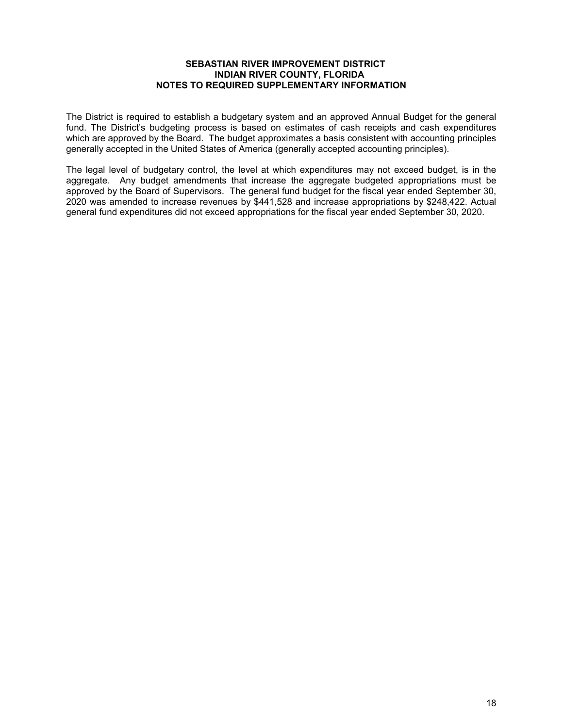#### **SEBASTIAN RIVER IMPROVEMENT DISTRICT INDIAN RIVER COUNTY, FLORIDA NOTES TO REQUIRED SUPPLEMENTARY INFORMATION**

The District is required to establish a budgetary system and an approved Annual Budget for the general fund. The District's budgeting process is based on estimates of cash receipts and cash expenditures which are approved by the Board. The budget approximates a basis consistent with accounting principles generally accepted in the United States of America (generally accepted accounting principles).

The legal level of budgetary control, the level at which expenditures may not exceed budget, is in the aggregate. Any budget amendments that increase the aggregate budgeted appropriations must be approved by the Board of Supervisors. The general fund budget for the fiscal year ended September 30, 2020 was amended to increase revenues by \$441,528 and increase appropriations by \$248,422. Actual general fund expenditures did not exceed appropriations for the fiscal year ended September 30, 2020.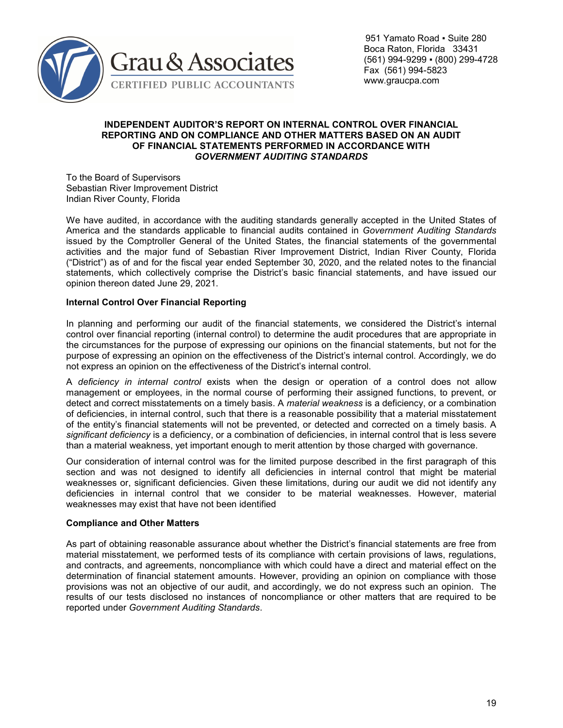

 951 Yamato Road ▪ Suite 280 Boca Raton, Florida 33431 (561) 994-9299 ▪ (800) 299-4728 Fax (561) 994-5823 www.graucpa.com

# **INDEPENDENT AUDITOR'S REPORT ON INTERNAL CONTROL OVER FINANCIAL REPORTING AND ON COMPLIANCE AND OTHER MATTERS BASED ON AN AUDIT OF FINANCIAL STATEMENTS PERFORMED IN ACCORDANCE WITH**  *GOVERNMENT AUDITING STANDARDS*

To the Board of Supervisors Sebastian River Improvement District Indian River County, Florida

We have audited, in accordance with the auditing standards generally accepted in the United States of America and the standards applicable to financial audits contained in *Government Auditing Standards* issued by the Comptroller General of the United States, the financial statements of the governmental activities and the major fund of Sebastian River Improvement District, Indian River County, Florida ("District") as of and for the fiscal year ended September 30, 2020, and the related notes to the financial statements, which collectively comprise the District's basic financial statements, and have issued our opinion thereon dated June 29, 2021.

# **Internal Control Over Financial Reporting**

In planning and performing our audit of the financial statements, we considered the District's internal control over financial reporting (internal control) to determine the audit procedures that are appropriate in the circumstances for the purpose of expressing our opinions on the financial statements, but not for the purpose of expressing an opinion on the effectiveness of the District's internal control. Accordingly, we do not express an opinion on the effectiveness of the District's internal control.

A *deficiency in internal control* exists when the design or operation of a control does not allow management or employees, in the normal course of performing their assigned functions, to prevent, or detect and correct misstatements on a timely basis. A *material weakness* is a deficiency, or a combination of deficiencies, in internal control, such that there is a reasonable possibility that a material misstatement of the entity's financial statements will not be prevented, or detected and corrected on a timely basis. A *significant deficiency* is a deficiency, or a combination of deficiencies, in internal control that is less severe than a material weakness, yet important enough to merit attention by those charged with governance.

Our consideration of internal control was for the limited purpose described in the first paragraph of this section and was not designed to identify all deficiencies in internal control that might be material weaknesses or, significant deficiencies. Given these limitations, during our audit we did not identify any deficiencies in internal control that we consider to be material weaknesses. However, material weaknesses may exist that have not been identified

## **Compliance and Other Matters**

As part of obtaining reasonable assurance about whether the District's financial statements are free from material misstatement, we performed tests of its compliance with certain provisions of laws, regulations, and contracts, and agreements, noncompliance with which could have a direct and material effect on the determination of financial statement amounts. However, providing an opinion on compliance with those provisions was not an objective of our audit, and accordingly, we do not express such an opinion. The results of our tests disclosed no instances of noncompliance or other matters that are required to be reported under *Government Auditing Standards*.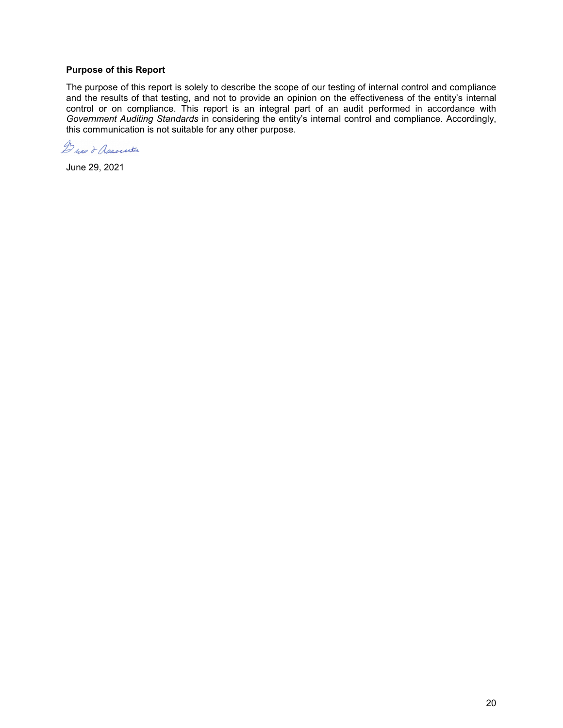# **Purpose of this Report**

The purpose of this report is solely to describe the scope of our testing of internal control and compliance and the results of that testing, and not to provide an opinion on the effectiveness of the entity's internal control or on compliance. This report is an integral part of an audit performed in accordance with *Government Auditing Standards* in considering the entity's internal control and compliance. Accordingly, this communication is not suitable for any other purpose.

B now & Association

June 29, 2021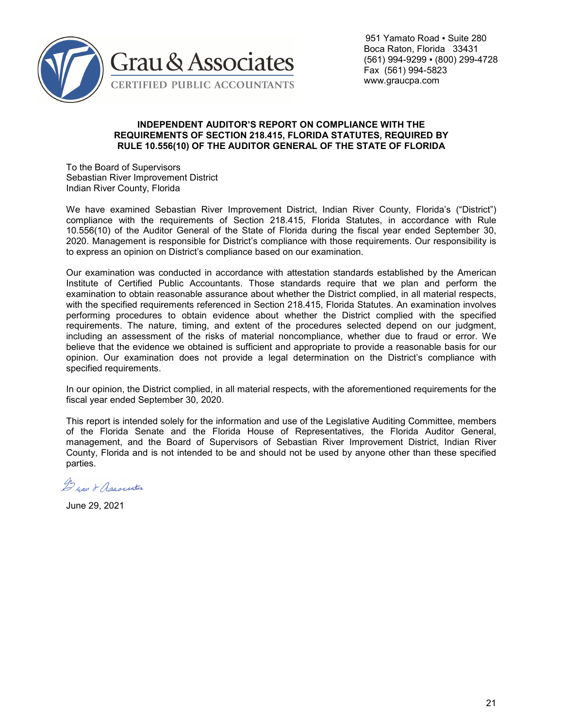

 951 Yamato Road ▪ Suite 280 Boca Raton, Florida 33431 (561) 994-9299 ▪ (800) 299-4728 Fax (561) 994-5823 www.graucpa.com

## **INDEPENDENT AUDITOR'S REPORT ON COMPLIANCE WITH THE REQUIREMENTS OF SECTION 218.415, FLORIDA STATUTES, REQUIRED BY RULE 10.556(10) OF THE AUDITOR GENERAL OF THE STATE OF FLORIDA**

To the Board of Supervisors Sebastian River Improvement District Indian River County, Florida

We have examined Sebastian River Improvement District, Indian River County, Florida's ("District") compliance with the requirements of Section 218.415, Florida Statutes, in accordance with Rule 10.556(10) of the Auditor General of the State of Florida during the fiscal year ended September 30, 2020. Management is responsible for District's compliance with those requirements. Our responsibility is to express an opinion on District's compliance based on our examination.

Our examination was conducted in accordance with attestation standards established by the American Institute of Certified Public Accountants. Those standards require that we plan and perform the examination to obtain reasonable assurance about whether the District complied, in all material respects, with the specified requirements referenced in Section 218.415, Florida Statutes. An examination involves performing procedures to obtain evidence about whether the District complied with the specified requirements. The nature, timing, and extent of the procedures selected depend on our judgment, including an assessment of the risks of material noncompliance, whether due to fraud or error. We believe that the evidence we obtained is sufficient and appropriate to provide a reasonable basis for our opinion. Our examination does not provide a legal determination on the District's compliance with specified requirements.

In our opinion, the District complied, in all material respects, with the aforementioned requirements for the fiscal year ended September 30, 2020.

This report is intended solely for the information and use of the Legislative Auditing Committee, members of the Florida Senate and the Florida House of Representatives, the Florida Auditor General, management, and the Board of Supervisors of Sebastian River Improvement District, Indian River County, Florida and is not intended to be and should not be used by anyone other than these specified parties.

Dean & Association

June 29, 2021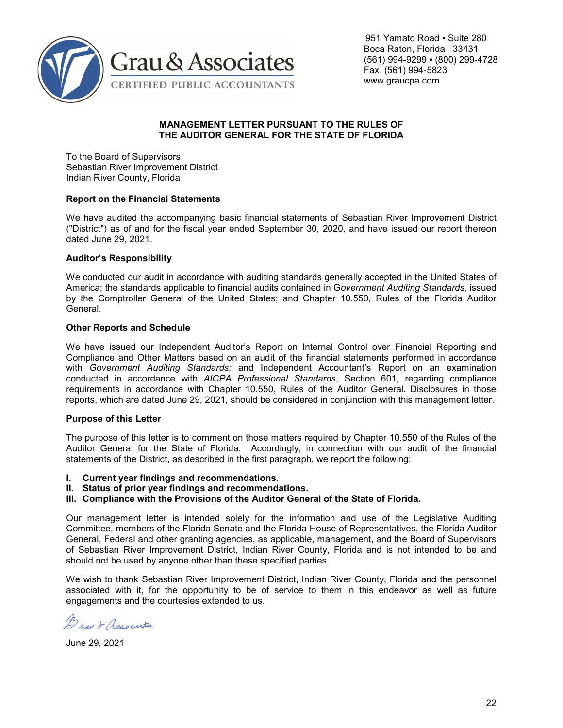

 951 Yamato Road ▪ Suite 280 Boca Raton, Florida 33431 (561) 994-9299 ▪ (800) 299-4728 Fax (561) 994-5823 www.graucpa.com

## **MANAGEMENT LETTER PURSUANT TO THE RULES OF THE AUDITOR GENERAL FOR THE STATE OF FLORIDA**

To the Board of Supervisors Sebastian River Improvement District Indian River County, Florida

## **Report on the Financial Statements**

We have audited the accompanying basic financial statements of Sebastian River Improvement District ("District") as of and for the fiscal year ended September 30, 2020, and have issued our report thereon dated June 29, 2021.

## **Auditor's Responsibility**

We conducted our audit in accordance with auditing standards generally accepted in the United States of America; the standards applicable to financial audits contained in G*overnment Auditing Standards,* issued by the Comptroller General of the United States; and Chapter 10.550, Rules of the Florida Auditor General.

#### **Other Reports and Schedule**

We have issued our Independent Auditor's Report on Internal Control over Financial Reporting and Compliance and Other Matters based on an audit of the financial statements performed in accordance with *Government Auditing Standards;* and Independent Accountant's Report on an examination conducted in accordance with *AICPA Professional Standards*, Section 601, regarding compliance requirements in accordance with Chapter 10.550, Rules of the Auditor General. Disclosures in those reports, which are dated June 29, 2021, should be considered in conjunction with this management letter.

#### **Purpose of this Letter**

The purpose of this letter is to comment on those matters required by Chapter 10.550 of the Rules of the Auditor General for the State of Florida. Accordingly, in connection with our audit of the financial statements of the District, as described in the first paragraph, we report the following:

## **I. Current year findings and recommendations.**

- **II. Status of prior year findings and recommendations.**
- **III. Compliance with the Provisions of the Auditor General of the State of Florida.**

Our management letter is intended solely for the information and use of the Legislative Auditing Committee, members of the Florida Senate and the Florida House of Representatives, the Florida Auditor General, Federal and other granting agencies, as applicable, management, and the Board of Supervisors of Sebastian River Improvement District, Indian River County, Florida and is not intended to be and should not be used by anyone other than these specified parties.

We wish to thank Sebastian River Improvement District, Indian River County, Florida and the personnel associated with it, for the opportunity to be of service to them in this endeavor as well as future engagements and the courtesies extended to us.

De yau & Association

June 29, 2021